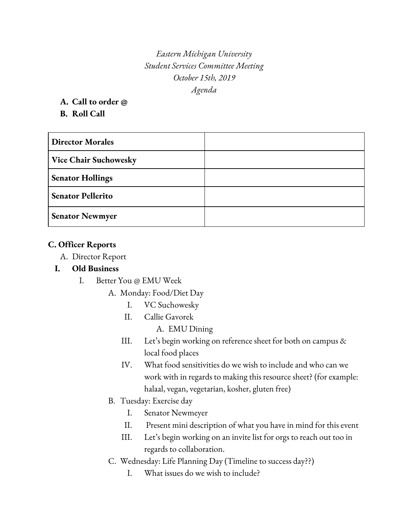*Eastern Michigan University Student Services Committee Meeting October 15th, 2019 Agenda*

**A. Call to order @**

**B. Roll Call**

| <b>Director Morales</b>      |  |
|------------------------------|--|
| <b>Vice Chair Suchowesky</b> |  |
| <b>Senator Hollings</b>      |  |
| <b>Senator Pellerito</b>     |  |
| <b>Senator Newmyer</b>       |  |

# **C. Officer Reports**

A. Director Report

### **I. Old Business**

- I. Better You @ EMU Week
	- A. Monday: Food/Diet Day
		- I. VC Suchowesky
		- II. Callie Gavorek
			- A. EMU Dining
		- III. Let's begin working on reference sheet for both on campus & local food places
		- IV. What food sensitivities do we wish to include and who can we work with in regards to making this resource sheet? (for example: halaal, vegan, vegetarian, kosher, gluten free)
	- B. Tuesday: Exercise day
		- I. Senator Newmeyer
		- II. Present mini description of what you have in mind for this event
		- III. Let's begin working on an invite list for orgs to reach out too in regards to collaboration.
	- C. Wednesday: Life Planning Day (Timeline to success day??)
		- I. What issues do we wish to include?